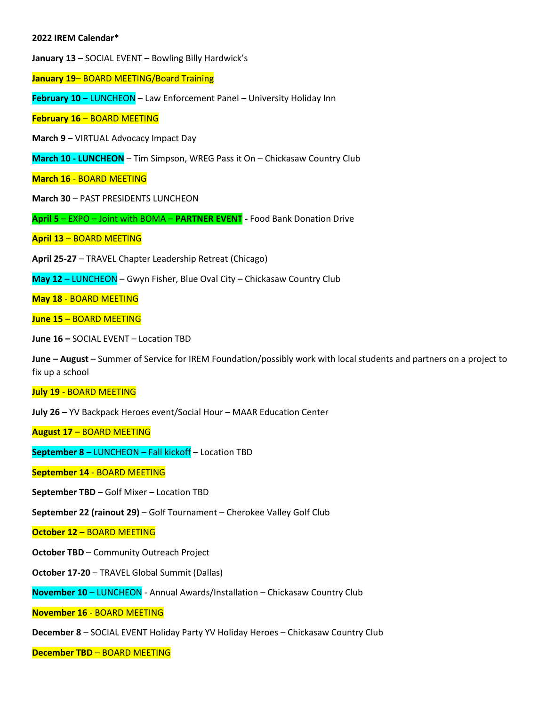## **2022 IREM Calendar\***

**January 13** – SOCIAL EVENT – Bowling Billy Hardwick's

**January 19**– BOARD MEETING/Board Training

**February 10** – LUNCHEON – Law Enforcement Panel – University Holiday Inn

**February 16** – BOARD MEETING

**March 9** – VIRTUAL Advocacy Impact Day

**March 10 - LUNCHEON** – Tim Simpson, WREG Pass it On – Chickasaw Country Club

**March 16** - BOARD MEETING

**March 30** – PAST PRESIDENTS LUNCHEON

**April 5** – EXPO – Joint with BOMA – **PARTNER EVENT -** Food Bank Donation Drive

**April 13** – BOARD MEETING

**April 25-27** – TRAVEL Chapter Leadership Retreat (Chicago)

**May 12** – LUNCHEON – Gwyn Fisher, Blue Oval City – Chickasaw Country Club

**May 18** - BOARD MEETING

**June 15** – BOARD MEETING

**June 16 –** SOCIAL EVENT – Location TBD

**June – August** – Summer of Service for IREM Foundation/possibly work with local students and partners on a project to fix up a school

## **July 19** - BOARD MEETING

**July 26 –** YV Backpack Heroes event/Social Hour – MAAR Education Center

**August 17** – BOARD MEETING

**September 8** – LUNCHEON – Fall kickoff – Location TBD

**September 14** - BOARD MEETING

**September TBD** – Golf Mixer – Location TBD

**September 22 (rainout 29)** – Golf Tournament – Cherokee Valley Golf Club

**October 12** – BOARD MEETING

**October TBD** – Community Outreach Project

**October 17-20** – TRAVEL Global Summit (Dallas)

**November 10** – LUNCHEON - Annual Awards/Installation – Chickasaw Country Club

**November 16** - BOARD MEETING

**December 8** – SOCIAL EVENT Holiday Party YV Holiday Heroes – Chickasaw Country Club

**December TBD** – BOARD MEETING